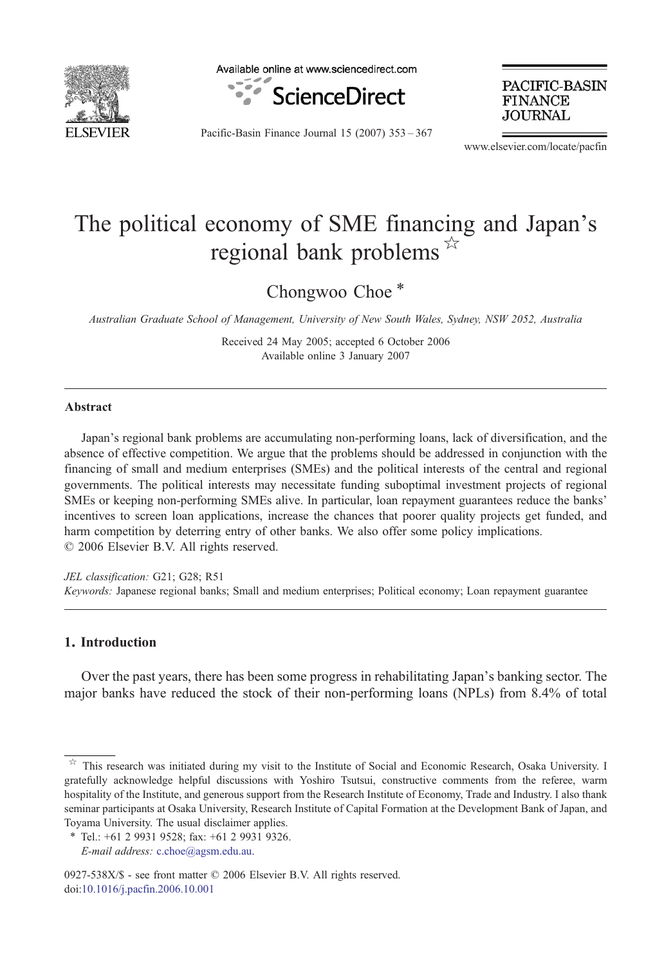

Available online at www.sciencedirect.com



PACIFIC-BASIN **FINANCE** JOURNAL

Pacific-Basin Finance Journal 15 (2007) 353–367

www.elsevier.com/locate/pacfin

## The political economy of SME financing and Japan's regional bank problems  $*$

Chongwoo Choe<sup>\*</sup>

Australian Graduate School of Management, University of New South Wales, Sydney, NSW 2052, Australia

Received 24 May 2005; accepted 6 October 2006 Available online 3 January 2007

## Abstract

Japan's regional bank problems are accumulating non-performing loans, lack of diversification, and the absence of effective competition. We argue that the problems should be addressed in conjunction with the financing of small and medium enterprises (SMEs) and the political interests of the central and regional governments. The political interests may necessitate funding suboptimal investment projects of regional SMEs or keeping non-performing SMEs alive. In particular, loan repayment guarantees reduce the banks' incentives to screen loan applications, increase the chances that poorer quality projects get funded, and harm competition by deterring entry of other banks. We also offer some policy implications. © 2006 Elsevier B.V. All rights reserved.

JEL classification: G21; G28; R51 Keywords: Japanese regional banks; Small and medium enterprises; Political economy; Loan repayment guarantee

## 1. Introduction

Over the past years, there has been some progress in rehabilitating Japan's banking sector. The major banks have reduced the stock of their non-performing loans (NPLs) from 8.4% of total

0927-538X/\$ - see front matter © 2006 Elsevier B.V. All rights reserved. doi:[10.1016/j.pacfin.2006.10.001](http://dx.doi.org/10.1016/j.pacfin.2006.10.001)

This research was initiated during my visit to the Institute of Social and Economic Research, Osaka University. I gratefully acknowledge helpful discussions with Yoshiro Tsutsui, constructive comments from the referee, warm hospitality of the Institute, and generous support from the Research Institute of Economy, Trade and Industry. I also thank seminar participants at Osaka University, Research Institute of Capital Formation at the Development Bank of Japan, and Toyama University. The usual disclaimer applies.

<sup>⁎</sup> Tel.: +61 2 9931 9528; fax: +61 2 9931 9326.

E-mail address: [c.choe@agsm.edu.au.](mailto:c.choe@agsm.edu.au)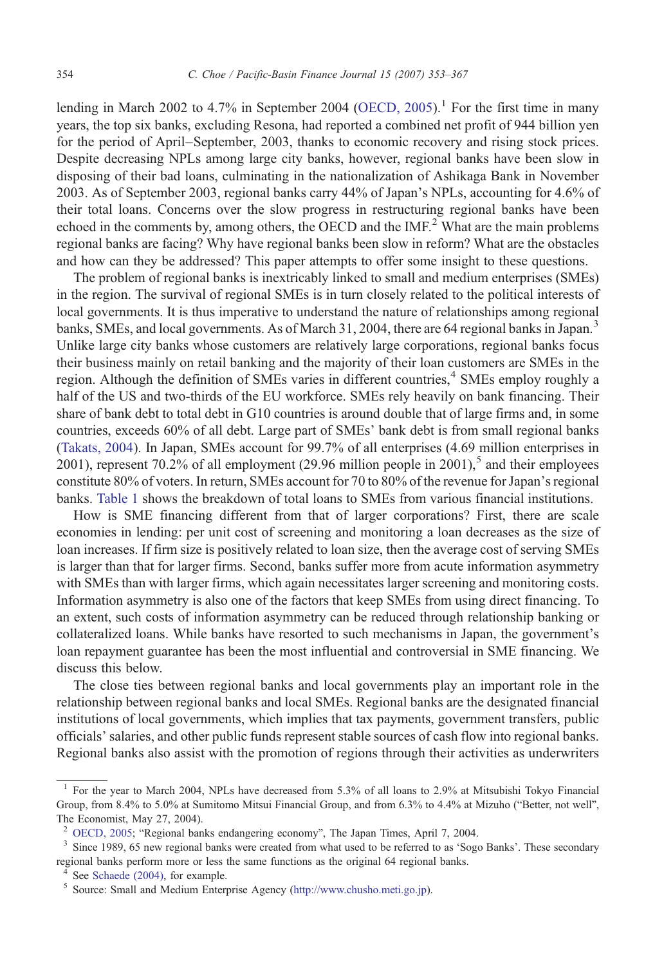lending in March 2002 to 4.7% in September 2004 ([OECD, 2005](#page--1-0)).<sup>1</sup> For the first time in many years, the top six banks, excluding Resona, had reported a combined net profit of 944 billion yen for the period of April–September, 2003, thanks to economic recovery and rising stock prices. Despite decreasing NPLs among large city banks, however, regional banks have been slow in disposing of their bad loans, culminating in the nationalization of Ashikaga Bank in November 2003. As of September 2003, regional banks carry 44% of Japan's NPLs, accounting for 4.6% of their total loans. Concerns over the slow progress in restructuring regional banks have been echoed in the comments by, among others, the OECD and the  $IMF<sup>2</sup>$  What are the main problems regional banks are facing? Why have regional banks been slow in reform? What are the obstacles and how can they be addressed? This paper attempts to offer some insight to these questions.

The problem of regional banks is inextricably linked to small and medium enterprises (SMEs) in the region. The survival of regional SMEs is in turn closely related to the political interests of local governments. It is thus imperative to understand the nature of relationships among regional banks, SMEs, and local governments. As of March 31, 2004, there are 64 regional banks in Japan.<sup>3</sup> Unlike large city banks whose customers are relatively large corporations, regional banks focus their business mainly on retail banking and the majority of their loan customers are SMEs in the region. Although the definition of SMEs varies in different countries,<sup>4</sup> SMEs employ roughly a half of the US and two-thirds of the EU workforce. SMEs rely heavily on bank financing. Their share of bank debt to total debt in G10 countries is around double that of large firms and, in some countries, exceeds 60% of all debt. Large part of SMEs' bank debt is from small regional banks [\(Takats, 2004\)](#page--1-0). In Japan, SMEs account for 99.7% of all enterprises (4.69 million enterprises in 2001), represent 70.2% of all employment (29.96 million people in 2001),<sup>5</sup> and their employees constitute 80% of voters. In return, SMEs account for 70 to 80% of the revenue for Japan's regional banks. [Table 1](#page--1-0) shows the breakdown of total loans to SMEs from various financial institutions.

How is SME financing different from that of larger corporations? First, there are scale economies in lending: per unit cost of screening and monitoring a loan decreases as the size of loan increases. If firm size is positively related to loan size, then the average cost of serving SMEs is larger than that for larger firms. Second, banks suffer more from acute information asymmetry with SMEs than with larger firms, which again necessitates larger screening and monitoring costs. Information asymmetry is also one of the factors that keep SMEs from using direct financing. To an extent, such costs of information asymmetry can be reduced through relationship banking or collateralized loans. While banks have resorted to such mechanisms in Japan, the government's loan repayment guarantee has been the most influential and controversial in SME financing. We discuss this below.

The close ties between regional banks and local governments play an important role in the relationship between regional banks and local SMEs. Regional banks are the designated financial institutions of local governments, which implies that tax payments, government transfers, public officials' salaries, and other public funds represent stable sources of cash flow into regional banks. Regional banks also assist with the promotion of regions through their activities as underwriters

<sup>1</sup> For the year to March 2004, NPLs have decreased from 5.3% of all loans to 2.9% at Mitsubishi Tokyo Financial Group, from 8.4% to 5.0% at Sumitomo Mitsui Financial Group, and from 6.3% to 4.4% at Mizuho ("Better, not well", The Economist, May 27, 2004).<br><sup>2</sup> OECD, 2005; "Regional banks endangering economy", The Japan Times, April 7, 2004.

<sup>&</sup>lt;sup>3</sup> Since 1989, 65 new regional banks were created from what used to be referred to as 'Sogo Banks'. These secondary regional banks perform more or less the same functions as the original 64 regional banks.

<sup>4</sup> See [Schaede \(2004\)](#page--1-0), for example. <sup>5</sup> Source: Small and Medium Enterprise Agency ([http://www.chusho.meti.go.jp\)](http://www.chusho.meti.go.jp).